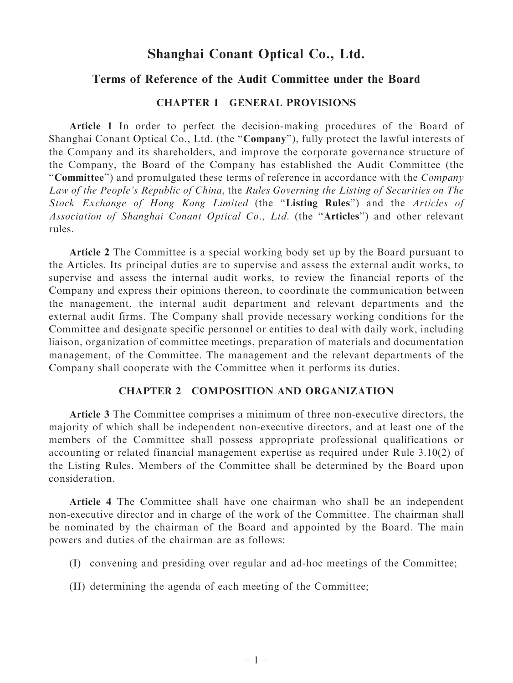# Shanghai Conant Optical Co., Ltd.

## Terms of Reference of the Audit Committee under the Board

### CHAPTER 1 GENERAL PROVISIONS

Article 1 In order to perfect the decision-making procedures of the Board of Shanghai Conant Optical Co., Ltd. (the "Company"), fully protect the lawful interests of the Company and its shareholders, and improve the corporate governance structure of the Company, the Board of the Company has established the Audit Committee (the ''Committee'') and promulgated these terms of reference in accordance with the Company Law of the People's Republic of China, the Rules Governing the Listing of Securities on The Stock Exchange of Hong Kong Limited (the ''Listing Rules'') and the Articles of Association of Shanghai Conant Optical Co., Ltd. (the ''Articles'') and other relevant rules.

Article 2 The Committee is a special working body set up by the Board pursuant to the Articles. Its principal duties are to supervise and assess the external audit works, to supervise and assess the internal audit works, to review the financial reports of the Company and express their opinions thereon, to coordinate the communication between the management, the internal audit department and relevant departments and the external audit firms. The Company shall provide necessary working conditions for the Committee and designate specific personnel or entities to deal with daily work, including liaison, organization of committee meetings, preparation of materials and documentation management, of the Committee. The management and the relevant departments of the Company shall cooperate with the Committee when it performs its duties.

#### CHAPTER 2 COMPOSITION AND ORGANIZATION

Article 3 The Committee comprises a minimum of three non-executive directors, the majority of which shall be independent non-executive directors, and at least one of the members of the Committee shall possess appropriate professional qualifications or accounting or related financial management expertise as required under Rule 3.10(2) of the Listing Rules. Members of the Committee shall be determined by the Board upon consideration.

Article 4 The Committee shall have one chairman who shall be an independent non-executive director and in charge of the work of the Committee. The chairman shall be nominated by the chairman of the Board and appointed by the Board. The main powers and duties of the chairman are as follows:

- (I) convening and presiding over regular and ad-hoc meetings of the Committee;
- (II) determining the agenda of each meeting of the Committee;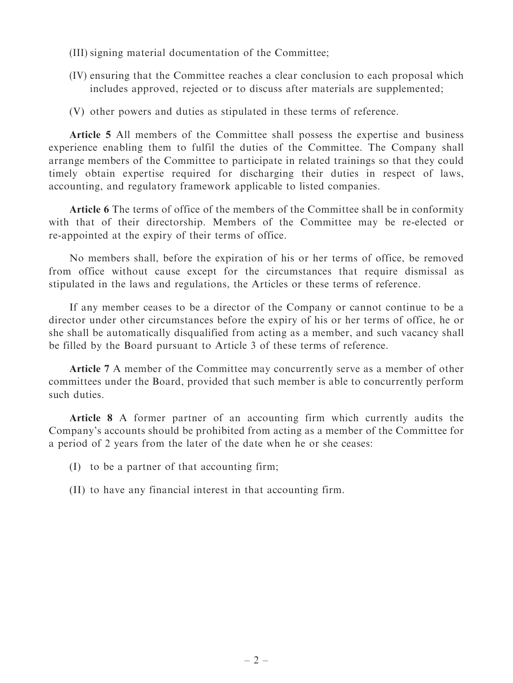- (III) signing material documentation of the Committee;
- (IV) ensuring that the Committee reaches a clear conclusion to each proposal which includes approved, rejected or to discuss after materials are supplemented;
- (V) other powers and duties as stipulated in these terms of reference.

Article 5 All members of the Committee shall possess the expertise and business experience enabling them to fulfil the duties of the Committee. The Company shall arrange members of the Committee to participate in related trainings so that they could timely obtain expertise required for discharging their duties in respect of laws, accounting, and regulatory framework applicable to listed companies.

Article 6 The terms of office of the members of the Committee shall be in conformity with that of their directorship. Members of the Committee may be re-elected or re-appointed at the expiry of their terms of office.

No members shall, before the expiration of his or her terms of office, be removed from office without cause except for the circumstances that require dismissal as stipulated in the laws and regulations, the Articles or these terms of reference.

If any member ceases to be a director of the Company or cannot continue to be a director under other circumstances before the expiry of his or her terms of office, he or she shall be automatically disqualified from acting as a member, and such vacancy shall be filled by the Board pursuant to Article 3 of these terms of reference.

Article 7 A member of the Committee may concurrently serve as a member of other committees under the Board, provided that such member is able to concurrently perform such duties.

Article 8 A former partner of an accounting firm which currently audits the Company's accounts should be prohibited from acting as a member of the Committee for a period of 2 years from the later of the date when he or she ceases:

- (I) to be a partner of that accounting firm;
- (II) to have any financial interest in that accounting firm.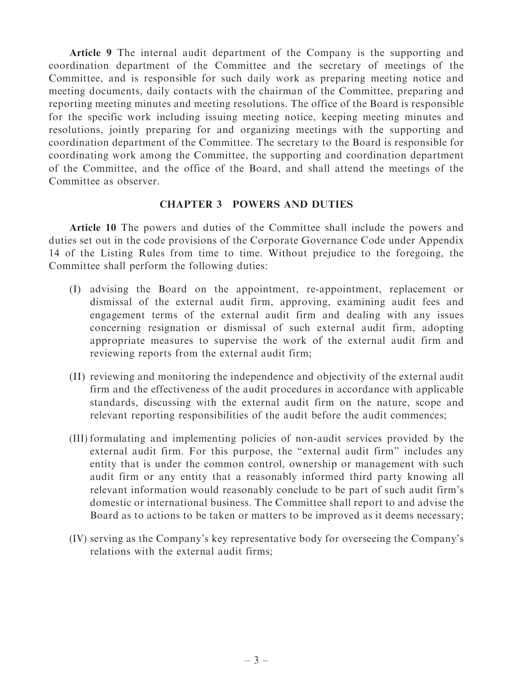Article 9 The internal audit department of the Company is the supporting and coordination department of the Committee and the secretary of meetings of the Committee, and is responsible for such daily work as preparing meeting notice and meeting documents, daily contacts with the chairman of the Committee, preparing and reporting meeting minutes and meeting resolutions. The office of the Board is responsible for the specific work including issuing meeting notice, keeping meeting minutes and resolutions, jointly preparing for and organizing meetings with the supporting and coordination department of the Committee. The secretary to the Board is responsible for coordinating work among the Committee, the supporting and coordination department of the Committee, and the office of the Board, and shall attend the meetings of the Committee as observer.

#### CHAPTER 3 POWERS AND DUTIES

Article 10 The powers and duties of the Committee shall include the powers and duties set out in the code provisions of the Corporate Governance Code under Appendix 14 of the Listing Rules from time to time. Without prejudice to the foregoing, the Committee shall perform the following duties:

- (I) advising the Board on the appointment, re-appointment, replacement or dismissal of the external audit firm, approving, examining audit fees and engagement terms of the external audit firm and dealing with any issues concerning resignation or dismissal of such external audit firm, adopting appropriate measures to supervise the work of the external audit firm and reviewing reports from the external audit firm;
- (II) reviewing and monitoring the independence and objectivity of the external audit firm and the effectiveness of the audit procedures in accordance with applicable standards, discussing with the external audit firm on the nature, scope and relevant reporting responsibilities of the audit before the audit commences;
- (III) formulating and implementing policies of non-audit services provided by the external audit firm. For this purpose, the ''external audit firm'' includes any entity that is under the common control, ownership or management with such audit firm or any entity that a reasonably informed third party knowing all relevant information would reasonably conclude to be part of such audit firm's domestic or international business. The Committee shall report to and advise the Board as to actions to be taken or matters to be improved as it deems necessary;
- (IV) serving as the Company's key representative body for overseeing the Company's relations with the external audit firms;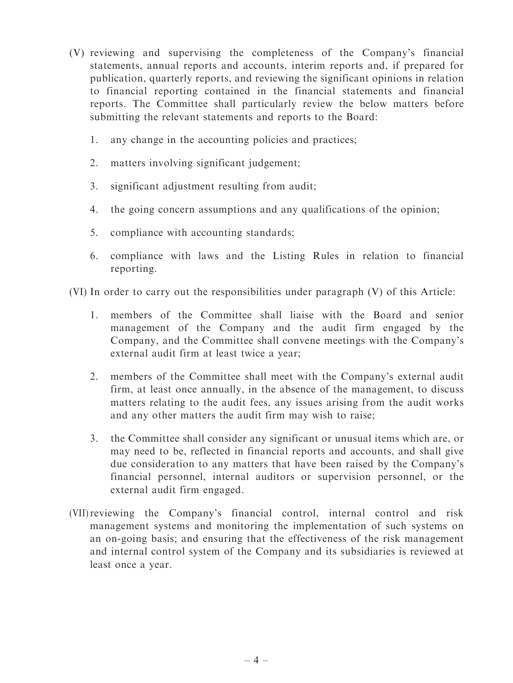- (V) reviewing and supervising the completeness of the Company's financial statements, annual reports and accounts, interim reports and, if prepared for publication, quarterly reports, and reviewing the significant opinions in relation to financial reporting contained in the financial statements and financial reports. The Committee shall particularly review the below matters before submitting the relevant statements and reports to the Board:
	- 1. any change in the accounting policies and practices;
	- 2. matters involving significant judgement;
	- 3. significant adjustment resulting from audit;
	- 4. the going concern assumptions and any qualifications of the opinion;
	- 5. compliance with accounting standards;
	- 6. compliance with laws and the Listing Rules in relation to financial reporting.

(VI) In order to carry out the responsibilities under paragraph (V) of this Article:

- 1. members of the Committee shall liaise with the Board and senior management of the Company and the audit firm engaged by the Company, and the Committee shall convene meetings with the Company's external audit firm at least twice a year;
- 2. members of the Committee shall meet with the Company's external audit firm, at least once annually, in the absence of the management, to discuss matters relating to the audit fees, any issues arising from the audit works and any other matters the audit firm may wish to raise;
- 3. the Committee shall consider any significant or unusual items which are, or may need to be, reflected in financial reports and accounts, and shall give due consideration to any matters that have been raised by the Company's financial personnel, internal auditors or supervision personnel, or the external audit firm engaged.
- (VII)reviewing the Company's financial control, internal control and risk management systems and monitoring the implementation of such systems on an on-going basis; and ensuring that the effectiveness of the risk management and internal control system of the Company and its subsidiaries is reviewed at least once a year.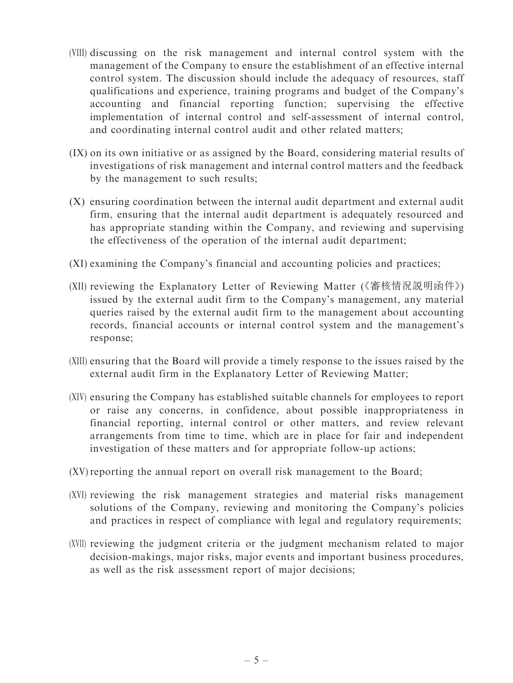- (VIII) discussing on the risk management and internal control system with the management of the Company to ensure the establishment of an effective internal control system. The discussion should include the adequacy of resources, staff qualifications and experience, training programs and budget of the Company's accounting and financial reporting function; supervising the effective implementation of internal control and self-assessment of internal control, and coordinating internal control audit and other related matters;
- (IX) on its own initiative or as assigned by the Board, considering material results of investigations of risk management and internal control matters and the feedback by the management to such results;
- (X) ensuring coordination between the internal audit department and external audit firm, ensuring that the internal audit department is adequately resourced and has appropriate standing within the Company, and reviewing and supervising the effectiveness of the operation of the internal audit department;
- (XI) examining the Company's financial and accounting policies and practices;
- (XII) reviewing the Explanatory Letter of Reviewing Matter (《審核情況說明函件》) issued by the external audit firm to the Company's management, any material queries raised by the external audit firm to the management about accounting records, financial accounts or internal control system and the management's response;
- (XIII) ensuring that the Board will provide a timely response to the issues raised by the external audit firm in the Explanatory Letter of Reviewing Matter;
- (XIV) ensuring the Company has established suitable channels for employees to report or raise any concerns, in confidence, about possible inappropriateness in financial reporting, internal control or other matters, and review relevant arrangements from time to time, which are in place for fair and independent investigation of these matters and for appropriate follow-up actions;
- (XV) reporting the annual report on overall risk management to the Board;
- (XVI) reviewing the risk management strategies and material risks management solutions of the Company, reviewing and monitoring the Company's policies and practices in respect of compliance with legal and regulatory requirements;
- (XVII) reviewing the judgment criteria or the judgment mechanism related to major decision-makings, major risks, major events and important business procedures, as well as the risk assessment report of major decisions;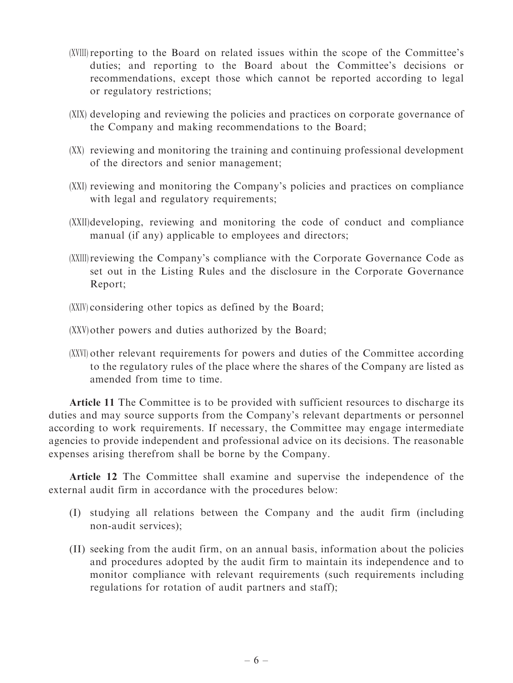- (XVIII) reporting to the Board on related issues within the scope of the Committee's duties; and reporting to the Board about the Committee's decisions or recommendations, except those which cannot be reported according to legal or regulatory restrictions;
- (XIX) developing and reviewing the policies and practices on corporate governance of the Company and making recommendations to the Board;
- (XX) reviewing and monitoring the training and continuing professional development of the directors and senior management;
- (XXI) reviewing and monitoring the Company's policies and practices on compliance with legal and regulatory requirements;
- (XXII)developing, reviewing and monitoring the code of conduct and compliance manual (if any) applicable to employees and directors;
- (XXIII)reviewing the Company's compliance with the Corporate Governance Code as set out in the Listing Rules and the disclosure in the Corporate Governance Report;
- (XXIV) considering other topics as defined by the Board;

(XXV) other powers and duties authorized by the Board;

(XXVI) other relevant requirements for powers and duties of the Committee according to the regulatory rules of the place where the shares of the Company are listed as amended from time to time.

Article 11 The Committee is to be provided with sufficient resources to discharge its duties and may source supports from the Company's relevant departments or personnel according to work requirements. If necessary, the Committee may engage intermediate agencies to provide independent and professional advice on its decisions. The reasonable expenses arising therefrom shall be borne by the Company.

Article 12 The Committee shall examine and supervise the independence of the external audit firm in accordance with the procedures below:

- (I) studying all relations between the Company and the audit firm (including non-audit services);
- (II) seeking from the audit firm, on an annual basis, information about the policies and procedures adopted by the audit firm to maintain its independence and to monitor compliance with relevant requirements (such requirements including regulations for rotation of audit partners and staff);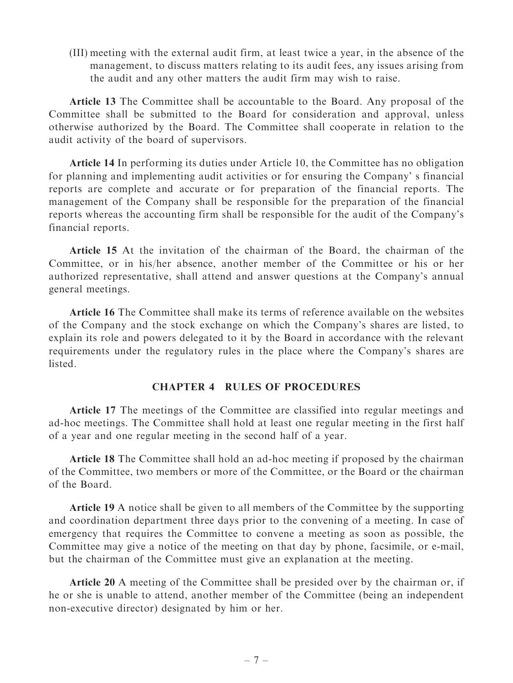(III) meeting with the external audit firm, at least twice a year, in the absence of the management, to discuss matters relating to its audit fees, any issues arising from the audit and any other matters the audit firm may wish to raise.

Article 13 The Committee shall be accountable to the Board. Any proposal of the Committee shall be submitted to the Board for consideration and approval, unless otherwise authorized by the Board. The Committee shall cooperate in relation to the audit activity of the board of supervisors.

Article 14 In performing its duties under Article 10, the Committee has no obligation for planning and implementing audit activities or for ensuring the Company' s financial reports are complete and accurate or for preparation of the financial reports. The management of the Company shall be responsible for the preparation of the financial reports whereas the accounting firm shall be responsible for the audit of the Company's financial reports.

Article 15 At the invitation of the chairman of the Board, the chairman of the Committee, or in his/her absence, another member of the Committee or his or her authorized representative, shall attend and answer questions at the Company's annual general meetings.

Article 16 The Committee shall make its terms of reference available on the websites of the Company and the stock exchange on which the Company's shares are listed, to explain its role and powers delegated to it by the Board in accordance with the relevant requirements under the regulatory rules in the place where the Company's shares are listed.

#### CHAPTER 4 RULES OF PROCEDURES

Article 17 The meetings of the Committee are classified into regular meetings and ad-hoc meetings. The Committee shall hold at least one regular meeting in the first half of a year and one regular meeting in the second half of a year.

Article 18 The Committee shall hold an ad-hoc meeting if proposed by the chairman of the Committee, two members or more of the Committee, or the Board or the chairman of the Board.

Article 19 A notice shall be given to all members of the Committee by the supporting and coordination department three days prior to the convening of a meeting. In case of emergency that requires the Committee to convene a meeting as soon as possible, the Committee may give a notice of the meeting on that day by phone, facsimile, or e-mail, but the chairman of the Committee must give an explanation at the meeting.

Article 20 A meeting of the Committee shall be presided over by the chairman or, if he or she is unable to attend, another member of the Committee (being an independent non-executive director) designated by him or her.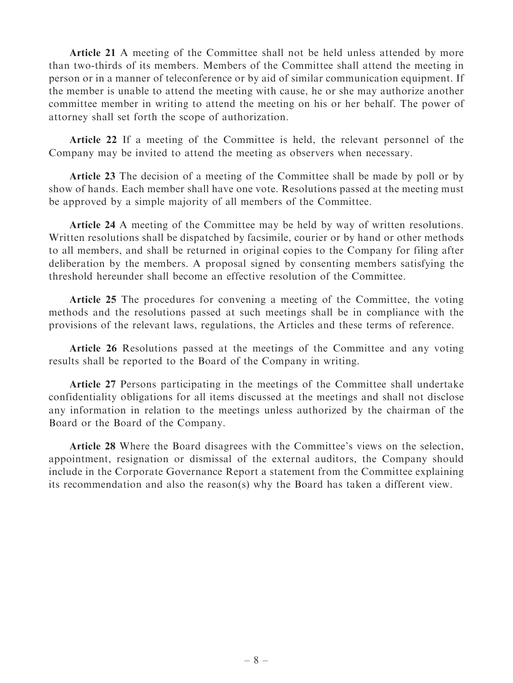Article 21 A meeting of the Committee shall not be held unless attended by more than two-thirds of its members. Members of the Committee shall attend the meeting in person or in a manner of teleconference or by aid of similar communication equipment. If the member is unable to attend the meeting with cause, he or she may authorize another committee member in writing to attend the meeting on his or her behalf. The power of attorney shall set forth the scope of authorization.

Article 22 If a meeting of the Committee is held, the relevant personnel of the Company may be invited to attend the meeting as observers when necessary.

Article 23 The decision of a meeting of the Committee shall be made by poll or by show of hands. Each member shall have one vote. Resolutions passed at the meeting must be approved by a simple majority of all members of the Committee.

Article 24 A meeting of the Committee may be held by way of written resolutions. Written resolutions shall be dispatched by facsimile, courier or by hand or other methods to all members, and shall be returned in original copies to the Company for filing after deliberation by the members. A proposal signed by consenting members satisfying the threshold hereunder shall become an effective resolution of the Committee.

Article 25 The procedures for convening a meeting of the Committee, the voting methods and the resolutions passed at such meetings shall be in compliance with the provisions of the relevant laws, regulations, the Articles and these terms of reference.

Article 26 Resolutions passed at the meetings of the Committee and any voting results shall be reported to the Board of the Company in writing.

Article 27 Persons participating in the meetings of the Committee shall undertake confidentiality obligations for all items discussed at the meetings and shall not disclose any information in relation to the meetings unless authorized by the chairman of the Board or the Board of the Company.

Article 28 Where the Board disagrees with the Committee's views on the selection, appointment, resignation or dismissal of the external auditors, the Company should include in the Corporate Governance Report a statement from the Committee explaining its recommendation and also the reason(s) why the Board has taken a different view.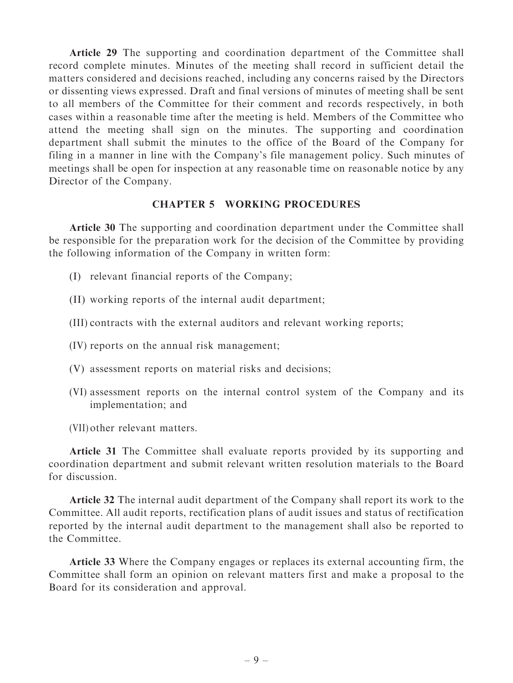Article 29 The supporting and coordination department of the Committee shall record complete minutes. Minutes of the meeting shall record in sufficient detail the matters considered and decisions reached, including any concerns raised by the Directors or dissenting views expressed. Draft and final versions of minutes of meeting shall be sent to all members of the Committee for their comment and records respectively, in both cases within a reasonable time after the meeting is held. Members of the Committee who attend the meeting shall sign on the minutes. The supporting and coordination department shall submit the minutes to the office of the Board of the Company for filing in a manner in line with the Company's file management policy. Such minutes of meetings shall be open for inspection at any reasonable time on reasonable notice by any Director of the Company.

#### CHAPTER 5 WORKING PROCEDURES

Article 30 The supporting and coordination department under the Committee shall be responsible for the preparation work for the decision of the Committee by providing the following information of the Company in written form:

- (I) relevant financial reports of the Company;
- (II) working reports of the internal audit department;
- (III) contracts with the external auditors and relevant working reports;
- (IV) reports on the annual risk management;
- (V) assessment reports on material risks and decisions;
- (VI) assessment reports on the internal control system of the Company and its implementation; and
- (VII) other relevant matters.

Article 31 The Committee shall evaluate reports provided by its supporting and coordination department and submit relevant written resolution materials to the Board for discussion.

Article 32 The internal audit department of the Company shall report its work to the Committee. All audit reports, rectification plans of audit issues and status of rectification reported by the internal audit department to the management shall also be reported to the Committee.

Article 33 Where the Company engages or replaces its external accounting firm, the Committee shall form an opinion on relevant matters first and make a proposal to the Board for its consideration and approval.